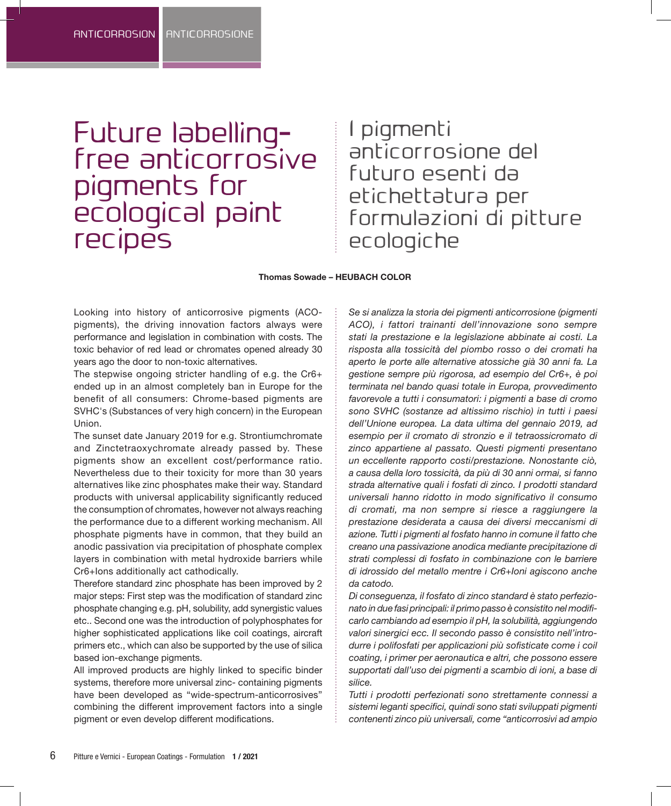# Future labellingfree anticorrosive pigments for ecological paint **recipes**

I pigmenti anticorrosione del futuro esenti da etichettatura per formulazioni di pitture ecologiche

#### **Thomas Sowade – HEUBACH COLOR**

Looking into history of anticorrosive pigments (ACOpigments), the driving innovation factors always were performance and legislation in combination with costs. The toxic behavior of red lead or chromates opened already 30 years ago the door to non-toxic alternatives.

The stepwise ongoing stricter handling of e.g. the Cr6+ ended up in an almost completely ban in Europe for the benefit of all consumers: Chrome-based pigments are SVHC's (Substances of very high concern) in the European Union.

The sunset date January 2019 for e.g. Strontiumchromate and Zinctetraoxychromate already passed by. These pigments show an excellent cost/performance ratio. Nevertheless due to their toxicity for more than 30 years alternatives like zinc phosphates make their way. Standard products with universal applicability significantly reduced the consumption of chromates, however not always reaching the performance due to a different working mechanism. All phosphate pigments have in common, that they build an anodic passivation via precipitation of phosphate complex layers in combination with metal hydroxide barriers while Cr6+Ions additionally act cathodically.

Therefore standard zinc phosphate has been improved by 2 major steps: First step was the modification of standard zinc phosphate changing e.g. pH, solubility, add synergistic values etc.. Second one was the introduction of polyphosphates for higher sophisticated applications like coil coatings, aircraft primers etc., which can also be supported by the use of silica based ion-exchange pigments.

All improved products are highly linked to specific binder systems, therefore more universal zinc- containing pigments have been developed as "wide-spectrum-anticorrosives" combining the different improvement factors into a single pigment or even develop different modifications.

*Se si analizza la storia dei pigmenti anticorrosione (pigmenti ACO), i fattori trainanti dell'innovazione sono sempre stati la prestazione e la legislazione abbinate ai costi. La risposta alla tossicità del piombo rosso o dei cromati ha aperto le porte alle alternative atossiche già 30 anni fa. La gestione sempre più rigorosa, ad esempio del Cr6+, è poi terminata nel bando quasi totale in Europa, provvedimento favorevole a tutti i consumatori: i pigmenti a base di cromo sono SVHC (sostanze ad altissimo rischio) in tutti i paesi dell'Unione europea. La data ultima del gennaio 2019, ad esempio per il cromato di stronzio e il tetraossicromato di zinco appartiene al passato. Questi pigmenti presentano un eccellente rapporto costi/prestazione. Nonostante ciò, a causa della loro tossicità, da più di 30 anni ormai, si fanno strada alternative quali i fosfati di zinco. I prodotti standard universali hanno ridotto in modo significativo il consumo di cromati, ma non sempre si riesce a raggiungere la prestazione desiderata a causa dei diversi meccanismi di azione. Tutti i pigmenti al fosfato hanno in comune il fatto che creano una passivazione anodica mediante precipitazione di strati complessi di fosfato in combinazione con le barriere di idrossido del metallo mentre i Cr6+Ioni agiscono anche da catodo.*

*Di conseguenza, il fosfato di zinco standard è stato perfezionato in due fasi principali: il primo passo è consistito nel modificarlo cambiando ad esempio il pH, la solubilità, aggiungendo valori sinergici ecc. Il secondo passo è consistito nell'introdurre i polifosfati per applicazioni più sofisticate come i coil coating, i primer per aeronautica e altri, che possono essere supportati dall'uso dei pigmenti a scambio di ioni, a base di silice.*

*Tutti i prodotti perfezionati sono strettamente connessi a sistemi leganti specifici, quindi sono stati sviluppati pigmenti contenenti zinco più universali, come "anticorrosivi ad ampio*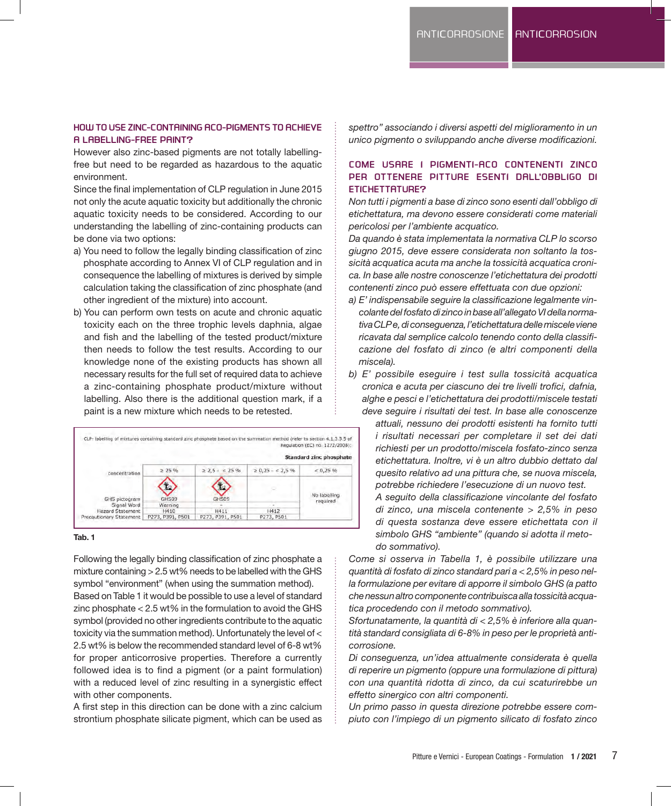# **HOW TO USE ZINC-CONTAINING ACO-PIGMENTS TO ACHIEVE A LABELLING-FREE PAINT?**

However also zinc-based pigments are not totally labellingfree but need to be regarded as hazardous to the aquatic environment.

Since the final implementation of CLP regulation in June 2015 not only the acute aquatic toxicity but additionally the chronic aquatic toxicity needs to be considered. According to our understanding the labelling of zinc-containing products can be done via two options:

- a) You need to follow the legally binding classification of zinc phosphate according to Annex VI of CLP regulation and in consequence the labelling of mixtures is derived by simple calculation taking the classification of zinc phosphate (and other ingredient of the mixture) into account.
- b) You can perform own tests on acute and chronic aquatic toxicity each on the three trophic levels daphnia, algae and fish and the labelling of the tested product/mixture then needs to follow the test results. According to our knowledge none of the existing products has shown all necessary results for the full set of required data to achieve a zinc-containing phosphate product/mixture without labelling. Also there is the additional question mark, if a paint is a new mixture which needs to be retested.



#### **Tab. 1**

Following the legally binding classification of zinc phosphate a mixture containing > 2.5 wt% needs to be labelled with the GHS symbol "environment" (when using the summation method). Based on Table 1 it would be possible to use a level of standard zinc phosphate < 2.5 wt% in the formulation to avoid the GHS symbol (provided no other ingredients contribute to the aquatic toxicity via the summation method). Unfortunately the level of < 2.5 wt% is below the recommended standard level of 6-8 wt% for proper anticorrosive properties. Therefore a currently followed idea is to find a pigment (or a paint formulation) with a reduced level of zinc resulting in a synergistic effect with other components.

A first step in this direction can be done with a zinc calcium strontium phosphate silicate pigment, which can be used as *spettro" associando i diversi aspetti del miglioramento in un unico pigmento o sviluppando anche diverse modificazioni.*

# **COME USARE I PIGMENTI-ACO CONTENENTI ZINCO PER OTTENERE PITTURE ESENTI DALL'OBBLIGO DI ETICHETTATURE?**

*Non tutti i pigmenti a base di zinco sono esenti dall'obbligo di etichettatura, ma devono essere considerati come materiali pericolosi per l'ambiente acquatico.*

*Da quando è stata implementata la normativa CLP lo scorso giugno 2015, deve essere considerata non soltanto la tossicità acquatica acuta ma anche la tossicità acquatica cronica. In base alle nostre conoscenze l'etichettatura dei prodotti contenenti zinco può essere effettuata con due opzioni:*

- *a) E' indispensabile seguire la classificazione legalmente vincolante del fosfato di zinco in base all'allegato VI della normativa CLP e, di conseguenza, l'etichettatura delle miscele viene ricavata dal semplice calcolo tenendo conto della classificazione del fosfato di zinco (e altri componenti della miscela).*
- *b) E' possibile eseguire i test sulla tossicità acquatica cronica e acuta per ciascuno dei tre livelli trofici, dafnia, alghe e pesci e l'etichettatura dei prodotti/miscele testati deve seguire i risultati dei test. In base alle conoscenze*

*attuali, nessuno dei prodotti esistenti ha fornito tutti i risultati necessari per completare il set dei dati richiesti per un prodotto/miscela fosfato-zinco senza etichettatura. Inoltre, vi è un altro dubbio dettato dal quesito relativo ad una pittura che, se nuova miscela, potrebbe richiedere l'esecuzione di un nuovo test. A seguito della classificazione vincolante del fosfato di zinco, una miscela contenente > 2,5% in peso di questa sostanza deve essere etichettata con il simbolo GHS "ambiente" (quando si adotta il metodo sommativo).*

*Come si osserva in Tabella 1, è possibile utilizzare una quantità di fosfato di zinco standard pari a < 2,5% in peso nella formulazione per evitare di apporre il simbolo GHS (a patto che nessun altro componente contribuisca alla tossicità acquatica procedendo con il metodo sommativo).*

*Sfortunatamente, la quantità di < 2,5% è inferiore alla quantità standard consigliata di 6-8% in peso per le proprietà anticorrosione.*

*Di conseguenza, un'idea attualmente considerata è quella di reperire un pigmento (oppure una formulazione di pittura) con una quantità ridotta di zinco, da cui scaturirebbe un effetto sinergico con altri componenti.*

*Un primo passo in questa direzione potrebbe essere compiuto con l'impiego di un pigmento silicato di fosfato zinco*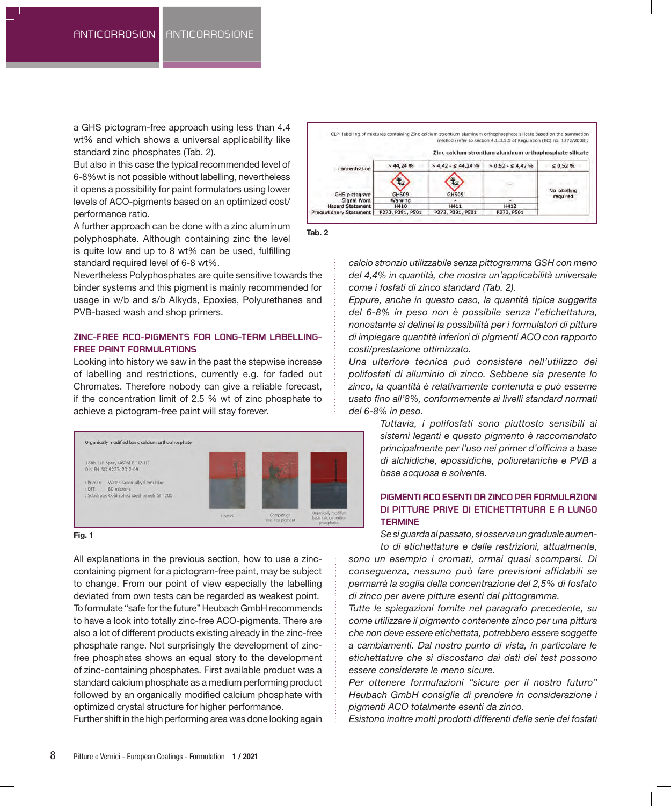a GHS pictogram-free approach using less than 4.4 wt% and which shows a universal applicability like standard zinc phosphates (Tab. 2).

But also in this case the typical recommended level of 6-8%wt is not possible without labelling, nevertheless it opens a possibility for paint formulators using lower levels of ACO-pigments based on an optimized cost/ performance ratio.

A further approach can be done with a zinc aluminum polyphosphate. Although containing zinc the level is quite low and up to 8 wt% can be used, fulfilling standard required level of 6-8 wt%.

Nevertheless Polyphosphates are quite sensitive towards the binder systems and this pigment is mainly recommended for usage in w/b and s/b Alkyds, Epoxies, Polyurethanes and PVB-based wash and shop primers.

## **ZINC-FREE ACO-PIGMENTS FOR LONG-TERM LABELLING-FREE PAINT FORMULATIONS**

Looking into history we saw in the past the stepwise increase of labelling and restrictions, currently e.g. for faded out Chromates. Therefore nobody can give a reliable forecast, if the concentration limit of 2.5 % wt of zinc phosphate to achieve a pictogram-free paint will stay forever.



#### **Fig. 1**

All explanations in the previous section, how to use a zinccontaining pigment for a pictogram-free paint, may be subject to change. From our point of view especially the labelling deviated from own tests can be regarded as weakest point. To formulate "safe for the future" Heubach GmbH recommends to have a look into totally zinc-free ACO-pigments. There are also a lot of different products existing already in the zinc-free phosphate range. Not surprisingly the development of zincfree phosphates shows an equal story to the development of zinc-containing phosphates. First available product was a standard calcium phosphate as a medium performing product followed by an organically modified calcium phosphate with optimized crystal structure for higher performance.

Further shift in the high performing area was done looking again





*calcio stronzio utilizzabile senza pittogramma GSH con meno del 4,4% in quantità, che mostra un'applicabilità universale come i fosfati di zinco standard (Tab. 2).*

*Eppure, anche in questo caso, la quantità tipica suggerita del 6-8% in peso non è possibile senza l'etichettatura, nonostante si delinei la possibilità per i formulatori di pitture di impiegare quantità inferiori di pigmenti ACO con rapporto costi/prestazione ottimizzato.* 

*Una ulteriore tecnica può consistere nell'utilizzo dei polifosfati di alluminio di zinco. Sebbene sia presente lo zinco, la quantità è relativamente contenuta e può esserne usato fino all'8%, conformemente ai livelli standard normati del 6-8% in peso.*

> *Tuttavia, i polifosfati sono piuttosto sensibili ai sistemi leganti e questo pigmento è raccomandato principalmente per l'uso nei primer d'officina a base di alchidiche, epossidiche, poliuretaniche e PVB a base acquosa e solvente.*

# **PIGMENTI ACO ESENTI DA ZINCO PER FORMULAZIONI DI PITTURE PRIVE DI ETICHETTATURA E A LUNGO TERMINE**

*Se si guarda al passato, si osserva un graduale aumento di etichettature e delle restrizioni, attualmente,* 

*sono un esempio i cromati, ormai quasi scomparsi. Di conseguenza, nessuno può fare previsioni affidabili se permarrà la soglia della concentrazione del 2,5% di fosfato di zinco per avere pitture esenti dal pittogramma.*

*Tutte le spiegazioni fornite nel paragrafo precedente, su come utilizzare il pigmento contenente zinco per una pittura che non deve essere etichettata, potrebbero essere soggette a cambiamenti. Dal nostro punto di vista, in particolare le etichettature che si discostano dai dati dei test possono essere considerate le meno sicure.*

*Per ottenere formulazioni "sicure per il nostro futuro" Heubach GmbH consiglia di prendere in considerazione i pigmenti ACO totalmente esenti da zinco.*

*Esistono inoltre molti prodotti differenti della serie dei fosfati*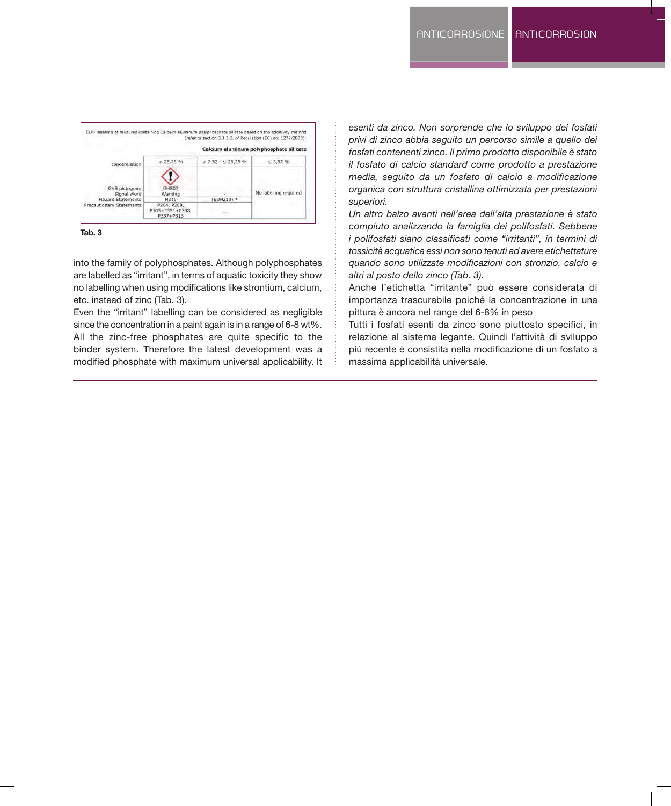

**Tab. 3**

into the family of polyphosphates. Although polyphosphates are labelled as "irritant", in terms of aquatic toxicity they show no labelling when using modifications like strontium, calcium, etc. instead of zinc (Tab. 3).

Even the "irritant" labelling can be considered as negligible since the concentration in a paint again is in a range of 6-8 wt%. All the zinc-free phosphates are quite specific to the binder system. Therefore the latest development was a modified phosphate with maximum universal applicability. It

*esenti da zinco. Non sorprende che lo sviluppo dei fosfati privi di zinco abbia seguito un percorso simile a quello dei fosfati contenenti zinco. Il primo prodotto disponibile è stato il fosfato di calcio standard come prodotto a prestazione media, seguito da un fosfato di calcio a modificazione organica con struttura cristallina ottimizzata per prestazioni superiori.*

*Un altro balzo avanti nell'area dell'alta prestazione è stato compiuto analizzando la famiglia dei polifosfati. Sebbene i polifosfati siano classificati come "irritanti", in termini di tossicità acquatica essi non sono tenuti ad avere etichettature quando sono utilizzate modificazioni con stronzio, calcio e altri al posto dello zinco (Tab. 3).*

Anche l'etichetta "irritante" può essere considerata di importanza trascurabile poiché la concentrazione in una pittura è ancora nel range del 6-8% in peso

Tutti i fosfati esenti da zinco sono piuttosto specifici, in relazione al sistema legante. Quindi l'attività di sviluppo più recente è consistita nella modificazione di un fosfato a massima applicabilità universale.